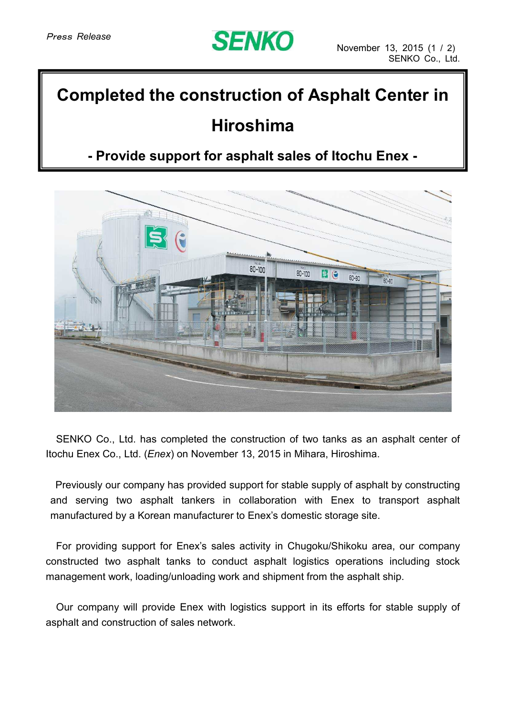

## **Completed the construction of Asphalt Center in**

## **Hiroshima**

## **- Provide support for asphalt sales of Itochu Enex -**



SENKO Co., Ltd. has completed the construction of two tanks as an asphalt center of Itochu Enex Co., Ltd. (*Enex*) on November 13, 2015 in Mihara, Hiroshima.

Previously our company has provided support for stable supply of asphalt by constructing and serving two asphalt tankers in collaboration with Enex to transport asphalt manufactured by a Korean manufacturer to Enex's domestic storage site.

For providing support for Enex's sales activity in Chugoku/Shikoku area, our company constructed two asphalt tanks to conduct asphalt logistics operations including stock management work, loading/unloading work and shipment from the asphalt ship.

Our company will provide Enex with logistics support in its efforts for stable supply of asphalt and construction of sales network.